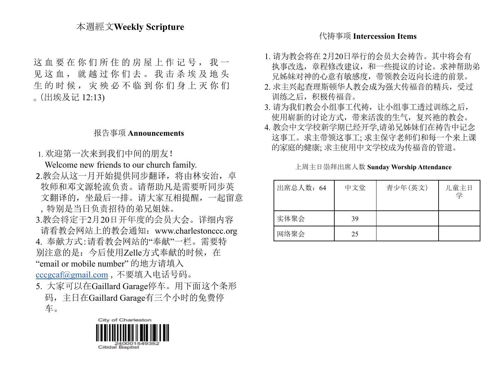# 本週經文**Weekly Scripture**

这血要在你们所住的房屋上作记号,我一 见这血, 就越过你们去。我击杀埃及地头 生的时候, 灾殃必不临到你们身上灭你们 。(出埃及记 12:13)

## 报告事项 **Announcements**

1. 欢迎第一次来到我们中间的朋友!

Welcome new friends to our church family. 2.教会从这一月开始提供同步翻译, 将由林安治, 卓 牧师和邓文源轮流负责。请帮助凡是需要听同步英 文翻译的,坐最后一排。请大家互相提醒,一起留意 ,特别是当日负责招待的弟兄姐妹。 3.教会将定于2月20日开年度的会员大会。详细内容 请看教会网站上的教会通知:www.charlestonccc.org 4. 奉献方式:请看教会网站的"奉献"一栏。需要特 别注意的是:今后使用Zelle方式奉献的时候,在

"email or mobile number" 的地方请填入 [cccgcaf@gmail.com](mailto:cccgcaf@gmail.com) ,不要填入电话号码。

- 5. 大家可以在Gaillard Garage停车。用下面这个条形 码,主日在Gaillard Garage有三个小时的免费停
	- 车。



#### 代祷事项 **Intercession Items**

- 1. 请为教会将在 2月20日举行的会员大会祷告。其中将会有 执事改选,章程修改建议,和一些提议的讨论。求神帮助弟 兄姊妹对神的心意有敏感度,带领教会迈向长进的前景。
- 2. 求主兴起查理斯顿华人教会成为强大传福音的精兵,受过 训练之后,积极传福音。
- 3. 请为我们教会小组事工代祷, 让小组事工透过训练之后, 使用崭新的讨论方式,带来活泼的生气,复兴祂的教会。
- 4. 教会中文学校新学期已经开学,请弟兄姊妹们在祷告中记念 这事工。求主带领这事工; 求主保守老师们和每一个来上课 的家庭的健康; 求主使用中文学校成为传福音的管道。

上周主日崇拜出席人数 **Sunday Worship Attendance**

| 出席总人数: 64 | 中文堂 | 青少年(英文) | 儿童主日<br>学 |
|-----------|-----|---------|-----------|
| 实体聚会      | 39  |         |           |
| 网络聚会      | 25  |         |           |